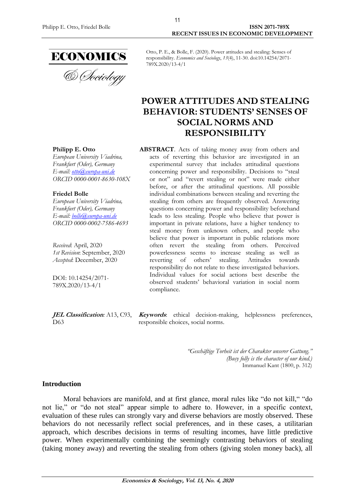

Otto, P. E., & Bolle, F. (2020). Power attitudes and stealing: Senses of responsibility. *Economics and Sociology*, *13*(4), 11-30. doi:10.14254/2071- 789X.2020/13-4/1

# **POWER ATTITUDES AND STEALING BEHAVIOR: STUDENTS' SENSES OF SOCIAL NORMS AND RESPONSIBILITY**

# **Philipp E. Otto**

*European University Viadrina, Frankfurt (Oder), Germany E-mail: [otto@europa-uni.de](mailto:otto@europa-uni.de) ORCID 0000-0001-8630-108X*

#### **Friedel Bolle**

*European University Viadrina, Frankfurt (Oder), Germany E-mail: [bolle@europa-uni.de](mailto:bolle@europa-uni.de) ORCID 0000-0002-7586-4693*

*Received*: April, 2020 *1st Revision*: September, 2020 *Accepted*: December, 2020

DOI: 10.14254/2071- 789X.2020/13-4/1

D<sub>63</sub>

**ABSTRACT**. Acts of taking money away from others and acts of reverting this behavior are investigated in an experimental survey that includes attitudinal questions concerning power and responsibility. Decisions to "steal or not" and "revert stealing or not" were made either before, or after the attitudinal questions. All possible individual combinations between stealing and reverting the stealing from others are frequently observed. Answering questions concerning power and responsibility beforehand leads to less stealing. People who believe that power is important in private relations, have a higher tendency to steal money from unknown others, and people who believe that power is important in public relations more often revert the stealing from others. Perceived powerlessness seems to increase stealing as well as reverting of others' stealing. Attitudes towards responsibility do not relate to these investigated behaviors. Individual values for social actions best describe the observed students' behavioral variation in social norm compliance.

**JEL Classification***:* A13, C93, **Keywords**: ethical decision-making, helplessness preferences, responsible choices, social norms.

> *"Geschäftige Torheit ist der Charakter unserer Gattung." (Busy folly is the character of our kind.)* Immanuel Kant (1800, p. 312)

## **Introduction**

Moral behaviors are manifold, and at first glance, moral rules like "do not kill," "do not lie," or "do not steal" appear simple to adhere to. However, in a specific context, evaluation of these rules can strongly vary and diverse behaviors are mostly observed. These behaviors do not necessarily reflect social preferences, and in these cases, a utilitarian approach, which describes decisions in terms of resulting incomes, have little predictive power. When experimentally combining the seemingly contrasting behaviors of stealing (taking money away) and reverting the stealing from others (giving stolen money back), all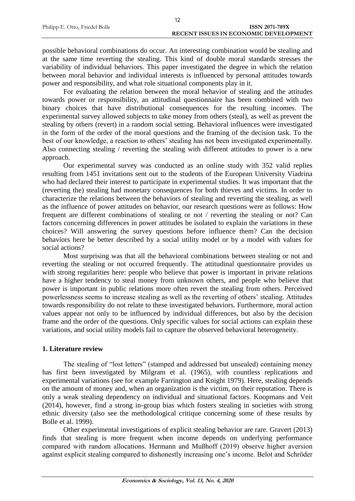possible behavioral combinations do occur. An interesting combination would be stealing and at the same time reverting the stealing. This kind of double moral standards stresses the variability of individual behaviors. This paper investigated the degree in which the relation between moral behavior and individual interests is influenced by personal attitudes towards power and responsibility, and what role situational components play in it.

For evaluating the relation between the moral behavior of stealing and the attitudes towards power or responsibility, an attitudinal questionnaire has been combined with two binary choices that have distributional consequences for the resulting incomes. The experimental survey allowed subjects to take money from others (steal), as well as prevent the stealing by others (revert) in a random social setting. Behavioral influences were investigated in the form of the order of the moral questions and the framing of the decision task. To the best of our knowledge, a reaction to others' stealing has not been investigated experimentally. Also connecting stealing / reverting the stealing with different attitudes to power is a new approach.

Our experimental survey was conducted as an online study with 352 valid replies resulting from 1451 invitations sent out to the students of the European University Viadrina who had declared their interest to participate in experimental studies. It was important that the (reverting the) stealing had monetary consequences for both thieves and victims. In order to characterize the relations between the behaviors of stealing and reverting the stealing, as well as the influence of power attitudes on behavior, our research questions were as follows: How frequent are different combinations of stealing or not / reverting the stealing or not? Can factors concerning differences in power attitudes be isolated to explain the variations in these choices? Will answering the survey questions before influence them? Can the decision behaviors here be better described by a social utility model or by a model with values for social actions?

Most surprising was that all the behavioral combinations between stealing or not and reverting the stealing or not occurred frequently. The attitudinal questionnaire provides us with strong regularities here: people who believe that power is important in private relations have a higher tendency to steal money from unknown others, and people who believe that power is important in public relations more often revert the stealing from others. Perceived powerlessness seems to increase stealing as well as the reverting of others' stealing. Attitudes towards responsibility do not relate to these investigated behaviors. Furthermore, moral action values appear not only to be influenced by individual differences, but also by the decision frame and the order of the questions. Only specific values for social actions can explain these variations, and social utility models fail to capture the observed behavioral heterogeneity.

## **1. Literature review**

The stealing of "lost letters" (stamped and addressed but unsealed) containing money has first been investigated by Milgram et al. (1965), with countless replications and experimental variations (see for example Farrington and Knight 1979). Here, stealing depends on the amount of money and, when an organization is the victim, on their reputation. There is only a weak stealing dependency on individual and situational factors. Koopmans and Veit (2014), however, find a strong in-group bias which fosters stealing in societies with strong ethnic diversity (also see the methodological critique concerning some of these results by Bolle et al. 1999).

Other experimental investigations of explicit stealing behavior are rare. Gravert (2013) finds that stealing is more frequent when income depends on underlying performance compared with random allocations. Hermann and Mußhoff (2019) observe higher aversion against explicit stealing compared to dishonestly increasing one's income. Belot and Schröder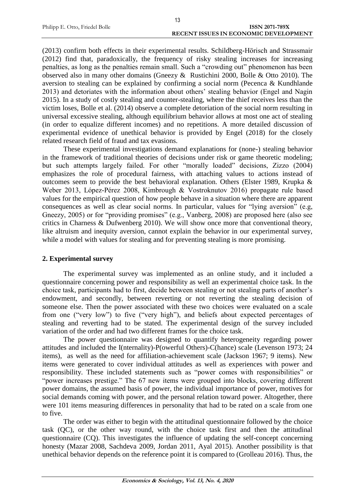(2013) confirm both effects in their experimental results. Schildberg-Hörisch and Strassmair (2012) find that, paradoxically, the frequency of risky stealing increases for increasing penalties, as long as the penalties remain small. Such a "crowding out" phenomenon has been observed also in many other domains (Gneezy & Rustichini 2000, Bolle & Otto 2010). The aversion to stealing can be explained by confirming a social norm (Pecenca & Kundhlande 2013) and detoriates with the information about others' stealing behavior (Engel and Nagin 2015). In a study of costly stealing and counter-stealing, where the thief receives less than the victim loses, Bolle et al. (2014) observe a complete detoriation of the social norm resulting in universal excessive stealing, although equilibrium behavior allows at most one act of stealing (in order to equalize different incomes) and no repetitions. A more detailed discussion of experimental evidence of unethical behavior is provided by Engel (2018) for the closely related research field of fraud and tax evasions.

These experimental investigations demand explanations for (none-) stealing behavior in the framework of traditional theories of decisions under risk or game theoretic modeling; but such attempts largely failed. For other "morally loaded" decisions, Zizzo (2004) emphasizes the role of procedural fairness, with attaching values to actions instead of outcomes seem to provide the best behavioral explanation. Others (Elster 1989, Krupka & Weber 2013, López-Pérez 2008, Kimbrough & Vostroknutov 2016) propagate rule based values for the empirical question of how people behave in a situation where there are apparent consequences as well as clear social norms. In particular, values for "lying aversion" (e.g, Gneezy, 2005) or for "providing promises" (e.g., Vanberg, 2008) are proposed here (also see critics in Charness & Dufwenberg 2010). We will show once more that conventional theory, like altruism and inequity aversion, cannot explain the behavior in our experimental survey, while a model with values for stealing and for preventing stealing is more promising.

## **2. Experimental survey**

The experimental survey was implemented as an online study, and it included a questionnaire concerning power and responsibility as well an experimental choice task. In the choice task, participants had to first, decide between stealing or not stealing parts of another's endowment, and secondly, between reverting or not reverting the stealing decision of someone else. Then the power associated with these two choices were evaluated on a scale from one ("very low") to five ("very high"), and beliefs about expected percentages of stealing and reverting had to be stated. The experimental design of the survey included variation of the order and had two different frames for the choice task.

The power questionnaire was designed to quantify heterogeneity regarding power attitudes and included the I(nternality)-P(owerful Others)-C(hance) scale (Levenson 1973; 24 items), as well as the need for affiliation-achievement scale (Jackson 1967; 9 items). New items were generated to cover individual attitudes as well as experiences with power and responsibility. These included statements such as "power comes with responsibilities" or "power increases prestige." The 67 new items were grouped into blocks, covering different power domains, the assumed basis of power, the individual importance of power, motives for social demands coming with power, and the personal relation toward power. Altogether, there were 101 items measuring differences in personality that had to be rated on a scale from one to five.

The order was either to begin with the attitudinal questionnaire followed by the choice task (QC), or the other way round, with the choice task first and then the attitudinal questionnaire (CQ). This investigates the influence of updating the self-concept concerning honesty (Mazar 2008, Sachdeva 2009, Jordan 2011, Ayal 2015). Another possibility is that unethical behavior depends on the reference point it is compared to (Grolleau 2016). Thus, the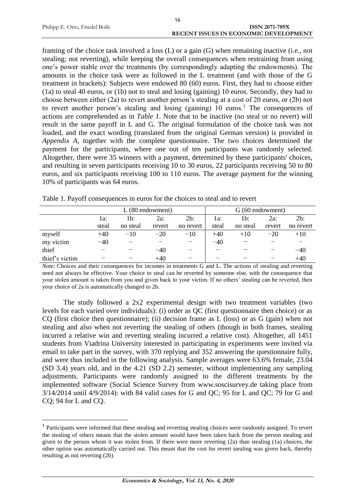framing of the choice task involved a loss (L) or a gain (G) when remaining inactive (i.e., not stealing; not reverting), while keeping the overall consequences when restraining from using one's power stable over the treatments (by correspondingly adapting the endowments). The amounts in the choice task were as followed in the L treatment (and with those of the G treatment in brackets): Subjects were endowed 80 (60) euros. First, they had to choose either (1a) to steal 40 euros, or (1b) not to steal and losing (gaining) 10 euros. Secondly, they had to choose between either (2a) to revert another person's stealing at a cost of 20 euros, or (2b) not to revert another person's stealing and losing (gaining)  $\overline{10}$  euros.<sup>1</sup> The consequences of actions are comprehended as in *Table 1*. Note that to be inactive (no steal or no revert) will result in the same payoff in L and G. The original formulation of the choice task was not loaded, and the exact wording (translated from the original German version) is provided in *Appendix A*, together with the complete questionnaire. The two choices determined the payment for the participants, where one out of ten participants was randomly selected. Altogether, there were 35 winners with a payment, determined by these participants' choices, and resulting in seven participants receiving 10 to 30 euros, 22 participants receiving 50 to 80 euros, and six participants receiving 100 to 110 euros. The average payment for the winning 10% of participants was 64 euros.

|                | $L(80 \text{ endowment})$ |          |        |                          |       | G (60 endowment) |        |           |  |  |
|----------------|---------------------------|----------|--------|--------------------------|-------|------------------|--------|-----------|--|--|
|                | 1a:                       | 1b:      | 2a:    | 2b:                      | 1a:   | 1b:              | 2a:    | 2b:       |  |  |
|                | steal                     | no steal | revert | no revert                | steal | no steal         | revert | no revert |  |  |
| myself         | $+40$                     | $-10$    | $-20$  | $-10$                    | $+40$ | $+10$            | $-20$  | $+10$     |  |  |
| my victim      | $-40$                     | -        |        |                          | $-40$ |                  |        |           |  |  |
| thief          |                           |          | $-40$  |                          |       |                  |        | $-40$     |  |  |
| thief's victim |                           |          | $+40$  | $\overline{\phantom{0}}$ |       |                  |        | $+40$     |  |  |

*Note*: Choices and their consequences for incomes in treatments G and L. The actions of stealing and reverting need not always be effective. Your choice to steal can be reverted by someone else, with the consequence that your stolen amount is taken from you and given back to your victim. If no others' stealing can be reverted, then your choice of 2a is automatically changed to 2b.

The study followed a 2x2 experimental design with two treatment variables (two levels for each varied over individuals): (i) order as QC (first questionnaire then choice) or as CQ (first choice then questionnaire); (ii) decision frame as L (loss) or as G (gain) when not stealing and also when not reverting the stealing of others (though in both frames, stealing incurred a relative win and reverting stealing incurred a relative cost). Altogether, all 1451 students from Viadrina University interested in participating in experiments were invited via email to take part in the survey, with 370 replying and 352 answering the questionnaire fully, and were thus included in the following analysis. Sample averages were 63.6% female, 23.04 (SD 3.4) years old, and in the 4.21 (SD 2.2) semester, without implementing any sampling adjustments. Participants were randomly assigned to the different treatments by the implemented software (Social Science Survey from www.soscisurvey.de taking place from 3/14/2014 until 4/9/2014): with 84 valid cases for G and QC; 95 for L and QC; 79 for G and CQ; 94 for L and CQ.

 $\overline{a}$ 

<sup>&</sup>lt;sup>1</sup> Participants were informed that these stealing and reverting stealing choices were randomly assigned. To revert the stealing of others means that the stolen amount would have been taken back from the person stealing and given to the person whom it was stolen from. If there were more reverting (2a) than stealing (1a) choices, the other option was automatically carried out. This meant that the cost for revert stealing was given back, thereby resulting as not reverting (2b).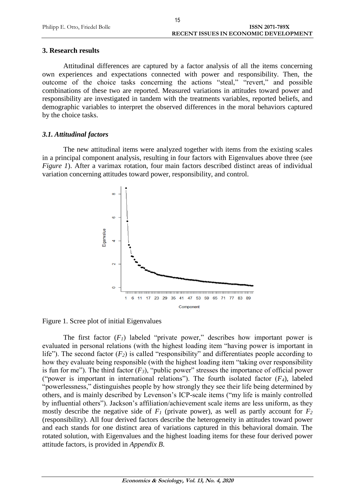## **3. Research results**

Attitudinal differences are captured by a factor analysis of all the items concerning own experiences and expectations connected with power and responsibility. Then, the outcome of the choice tasks concerning the actions "steal," "revert," and possible combinations of these two are reported. Measured variations in attitudes toward power and responsibility are investigated in tandem with the treatments variables, reported beliefs, and demographic variables to interpret the observed differences in the moral behaviors captured by the choice tasks.

## *3.1. Attitudinal factors*

The new attitudinal items were analyzed together with items from the existing scales in a principal component analysis, resulting in four factors with Eigenvalues above three (see *Figure 1*). After a varimax rotation, four main factors described distinct areas of individual variation concerning attitudes toward power, responsibility, and control.



Figure 1. Scree plot of initial Eigenvalues

The first factor  $(F<sub>1</sub>)$  labeled "private power," describes how important power is evaluated in personal relations (with the highest loading item "having power is important in life"). The second factor  $(F_2)$  is called "responsibility" and differentiates people according to how they evaluate being responsible (with the highest loading item "taking over responsibility is fun for me"). The third factor (*F3*), "public power" stresses the importance of official power ("power is important in international relations"). The fourth isolated factor  $(F_4)$ , labeled "powerlessness," distinguishes people by how strongly they see their life being determined by others, and is mainly described by Levenson's ICP-scale items ("my life is mainly controlled by influential others"). Jackson's affiliation/achievement scale items are less uniform, as they mostly describe the negative side of  $F_I$  (private power), as well as partly account for  $F_2$ (responsibility). All four derived factors describe the heterogeneity in attitudes toward power and each stands for one distinct area of variations captured in this behavioral domain. The rotated solution, with Eigenvalues and the highest loading items for these four derived power attitude factors, is provided in *Appendix B*.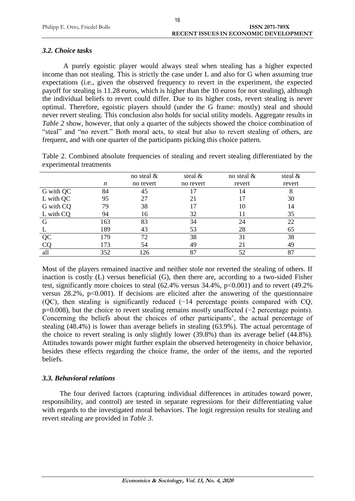## *3.2. Choice tasks*

A purely egoistic player would always steal when stealing has a higher expected income than not stealing. This is strictly the case under L and also for G when assuming true expectations (i.e., given the observed frequency to revert in the experiment, the expected payoff for stealing is 11.28 euros, which is higher than the 10 euros for not stealing), although the individual beliefs to revert could differ. Due to its higher costs, revert stealing is never optimal. Therefore, egoistic players should (under the G frame: mostly) steal and should never revert stealing. This conclusion also holds for social utility models. Aggregate results in *Table 2* show, however, that only a quarter of the subjects showed the choice combination of "steal" and "no revert." Both moral acts, to steal but also to revert stealing of others, are frequent, and with one quarter of the participants picking this choice pattern.

|                         |  |  |  | Table 2. Combined absolute frequencies of stealing and revert stealing differentiated by the |  |
|-------------------------|--|--|--|----------------------------------------------------------------------------------------------|--|
| experimental treatments |  |  |  |                                                                                              |  |

|           |     | no steal $\&$ | steal $\&$ | no steal $\&$ | steal $\&$ |
|-----------|-----|---------------|------------|---------------|------------|
|           | n   | no revert     | no revert  | revert        | revert     |
| G with QC | 84  | 45            |            | 14            |            |
| L with QC | 95  | 27            | 21         |               | 30         |
| G with CQ | 79  | 38            |            | 10            | 14         |
| L with CQ | 94  | 16            | 32         |               | 35         |
| G         | 163 | 83            | 34         | 24            | 22         |
|           | 189 | 43            | 53         | 28            | 65         |
| QC        | 179 | 72            | 38         | 31            | 38         |
|           | 173 | 54            | 49         | 21            | 49         |
| all       | 352 | 126           | 87         | 52            | 87         |

Most of the players remained inactive and neither stole nor reverted the stealing of others. If inaction is costly (L) versus beneficial (G), then there are, according to a two-sided Fisher test, significantly more choices to steal (62.4% versus 34.4%, p<0.001) and to revert (49.2% versus  $28.2\%$ ,  $p<0.001$ ). If decisions are elicited after the answering of the questionnaire (QC), then stealing is significantly reduced (−14 percentage points compared with CQ, p=0.008), but the choice to revert stealing remains mostly unaffected (−2 percentage points). Concerning the beliefs about the choices of other participants', the actual percentage of stealing (48.4%) is lower than average beliefs in stealing (63.9%). The actual percentage of the choice to revert stealing is only slightly lower (39.8%) than its average belief (44.8%). Attitudes towards power might further explain the observed heterogeneity in choice behavior, besides these effects regarding the choice frame, the order of the items, and the reported beliefs.

## *3.3. Behavioral relations*

The four derived factors (capturing individual differences in attitudes toward power, responsibility, and control) are tested in separate regressions for their differentiating value with regards to the investigated moral behaviors. The logit regression results for stealing and revert stealing are provided in *Table 3*.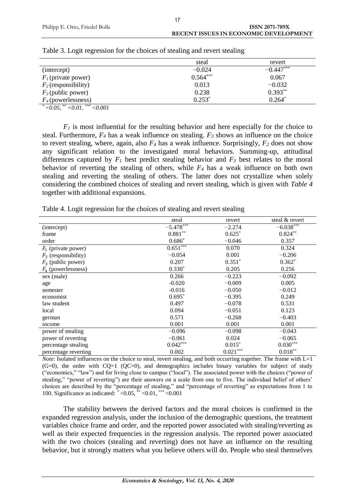|                        | steal      | revert      |
|------------------------|------------|-------------|
| (intercept)            | $-0.024$   | $-0.447***$ |
| $F_I$ (private power)  | $0.564***$ | 0.067       |
| $F_2$ (responsibility) | 0.013      | $-0.032$    |
| $F_3$ (public power)   | 0.238      | $0.393***$  |
| $F_4$ (powerlessness)  | $0.253*$   | $0.264*$    |
|                        |            |             |

Table 3. Logit regression for the choices of stealing and revert stealing

*\* <0.05, \*\* <0.01, \*\*\* <0.001*

 $F_I$  is most influential for the resulting behavior and here especially for the choice to steal. Furthermore,  $F_4$  has a weak influence on stealing.  $F_3$  shows an influence on the choice to revert stealing, where, again, also  $F_4$  has a weak influence. Surprisingly,  $F_2$  does not show any significant relation to the investigated moral behaviors. Summing-up, attitudinal differences captured by  $F_I$  best predict stealing behavior and  $F_I$  best relates to the moral behavior of reverting the stealing of others, while  $F_4$  has a weak influence on both own stealing and reverting the stealing of others. The latter does not crystallize when solely considering the combined choices of stealing and revert stealing, which is given with *Table 4* together with additional expansions.

Table 4. Logit regression for the choices of stealing and revert stealing

|                        | steal                    | revert     | steal & revert |
|------------------------|--------------------------|------------|----------------|
| (intercept)            | $-5.478***$              | $-2.274$   | $-6.038***$    |
| frame                  | $0.881**$                | $0.625*$   | $0.824***$     |
| order                  | $0.686*$                 | $-0.046$   | 0.357          |
| $F_1$ (private power)  | $0.65\overline{1^{***}}$ | 0.070      | 0.324          |
| $F_2$ (responsibility) | $-0.054$                 | 0.001      | $-0.206$       |
| $F_3$ (public power)   | 0.207                    | $0.351*$   | $0.362*$       |
| $F_4$ (powerlessness)  | $0.330*$                 | 0.205      | 0.256          |
| sex (male)             | 0.266                    | $-0.223$   | $-0.092$       |
| age                    | $-0.020$                 | $-0.009$   | 0.005          |
| semester               | $-0.016$                 | $-0.050$   | $-0.012$       |
| economist              | $0.695*$                 | $-0.395$   | 0.249          |
| law student            | 0.497                    | $-0.078$   | 0.531          |
| local                  | 0.094                    | $-0.051$   | 0.123          |
| german                 | 0.571                    | $-0.268$   | $-0.403$       |
| income                 | 0.001                    | 0.001      | 0.001          |
| power of stealing      | $-0.096$                 | $-0.098$   | $-0.043$       |
| power of reverting     | $-0.061$                 | 0.024      | $-0.065$       |
| percentage stealing    | $0.042***$               | $0.015*$   | $0.030***$     |
| percentage reverting   | 0.002                    | $0.021***$ | $0.018***$     |

*Note*: Isolated influences on the choice to steal, revert stealing, and both occurring together. The frame with L=1  $(G=0)$ , the order with  $CQ=1$   $(QC=0)$ , and demographics includes binary variables for subject of study ("economics," "law") and for living close to campus ("local"). The associated power with the choices ("power of stealing," "power of reverting") are their answers on a scale from one to five. The individual belief of others' choices are described by the "percentage of stealing," and "percentage of reverting" as expectations from 1 to 100. Significance as indicated: \* <0.05, \*\* <0.01, \*\*\* <0.001

The stability between the derived factors and the moral choices is confirmed in the expanded regression analysis, under the inclusion of the demographic questions, the treatment variables choice frame and order, and the reported power associated with stealing/reverting as well as their expected frequencies in the regression analysis. The reported power associated with the two choices (stealing and reverting) does not have an influence on the resulting behavior, but it strongly matters what you believe others will do. People who steal themselves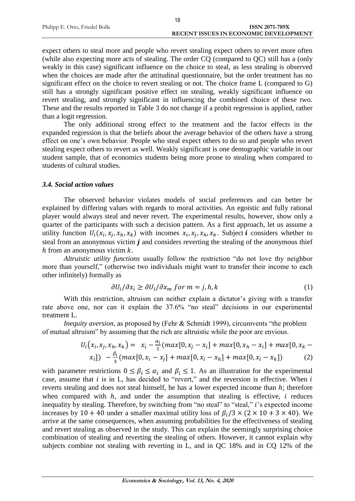|                                | 18                                           |
|--------------------------------|----------------------------------------------|
| Philipp E. Otto, Friedel Bolle | <b>ISSN 2071-789X</b>                        |
|                                | <b>RECENT ISSUES IN ECONOMIC DEVELOPMENT</b> |

expect others to steal more and people who revert stealing expect others to revert more often (while also expecting more acts of stealing. The order CQ (compared to QC) still has a (only weakly in this case) significant influence on the choice to steal, as less stealing is observed when the choices are made after the attitudinal questionnaire, but the order treatment has no significant effect on the choice to revert stealing or not. The choice frame L (compared to G) still has a strongly significant positive effect on stealing, weakly significant influence on revert stealing, and strongly significant in influencing the combined choice of these two. These and the results reported in Table 3 do not change if a probit regression is applied, rather than a logit regression.

The only additional strong effect to the treatment and the factor effects in the expanded regression is that the beliefs about the average behavior of the others have a strong effect on one's own behavior. People who steal expect others to do so and people who revert stealing expect others to revert as well. Weakly significant is one demographic variable in our student sample, that of economics students being more prone to stealing when compared to students of cultural studies.

#### *3.4. Social action values*

The observed behavior violates models of social preferences and can better be explained by differing values with regards to moral activities. An egoistic and fully rational player would always steal and never revert. The experimental results, however, show only a quarter of the participants with such a decision pattern. As a first approach, let us assume a utility function  $U_i(x_i, x_j, x_h, x_k)$  with incomes  $x_i, x_j, x_h, x_k$ . Subject *i* considers whether to steal from an anonymous victim  $\boldsymbol{j}$  and considers reverting the stealing of the anonymous thief  $h$  from an anonymous victim  $k$ .

*Altruistic utility functions* usually follow the restriction "do not love thy neighbor more than yourself," (otherwise two individuals might want to transfer their income to each other infinitely) formally as

$$
\partial U_i / \partial x_i \ge \partial U_i / \partial x_m \text{ for } m = j, h, k \tag{1}
$$

With this restriction, altruism can neither explain a dictator's giving with a transfer rate above one, nor can it explain the 37.6% "no steal" decisions in our experimental treatment L.

*Inequity aversion*, as proposed by (Fehr & Schmidt 1999), circumvents "the problem of mutual altruism" by assuming that the rich are altruistic while the poor are envious.

$$
U_i(x_i, x_j, x_h, x_k) = x_i - \frac{\alpha_i}{3} (max[0, x_j - x_i] + max[0, x_h - x_i] + max[0, x_k - x_i]) - \frac{\beta_i}{3} (max[0, x_i - x_j] + max[0, x_i - x_h] + max[0, x_i - x_k]) \tag{2}
$$

with parameter restrictions  $0 \le \beta_i \le \alpha_i$  and  $\beta_i \le 1$ . As an illustration for the experimental case, assume that  $i$  is in L, has decided to "revert," and the reversion is effective. When  $i$ reverts stealing and does not steal himself, he has a lower expected income than  $h$ ; therefore when compared with  $h$ , and under the assumption that stealing is effective,  $i$  reduces inequality by stealing. Therefore, by switching from "no steal" to "steal," i's expected income increases by 10 + 40 under a smaller maximal utility loss of  $\beta_i/3 \times (2 \times 10 + 3 \times 40)$ . We arrive at the same consequences, when assuming probabilities for the effectiveness of stealing and revert stealing as observed in the study. This can explain the seemingly surprising choice combination of stealing and reverting the stealing of others. However, it cannot explain why subjects combine not stealing with reverting in L, and in QC 18% and in CQ 12% of the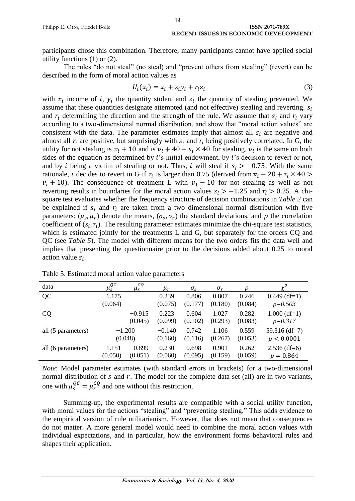participants chose this combination. Therefore, many participants cannot have applied social utility functions (1) or (2).

The rules "do not steal" (no steal) and "prevent others from stealing" (revert) can be described in the form of moral action values as

$$
U_i(x_i) = x_i + s_i y_i + r_i z_i \tag{3}
$$

with  $x_i$  income of *i*,  $y_i$  the quantity stolen, and  $z_i$  the quantity of stealing prevented. We assume that these quantities designate attempted (and not effective) stealing and reverting.  $s_i$ and  $r_i$  determining the direction and the strength of the rule. We assume that  $s_i$  and  $r_i$  vary according to a two-dimensional normal distribution, and show that "moral action values" are consistent with the data. The parameter estimates imply that almost all  $s_i$  are negative and almost all  $r_i$  are positive, but surprisingly with  $s_i$  and  $r_i$  being positively correlated. In G, the utility for not stealing is  $v_i + 10$  and is  $v_i + 40 + s_i \times 40$  for stealing.  $v_i$  is the same on both sides of the equation as determined by  $i$ 's initial endowment, by  $i$ 's decision to revert or not, and by *i* being a victim of stealing or not. Thus, *i* will steal if  $s_i > -0.75$ . With the same rationale, *i* decides to revert in G if  $r_i$  is larger than 0.75 (derived from  $v_i - 20 + r_i \times 40$ )  $v_i + 10$ ). The consequence of treatment L with  $v_1 - 10$  for not stealing as well as not reverting results in boundaries for the moral action values  $s_i > -1.25$  and  $r_i > 0.25$ . A chisquare test evaluates whether the frequency structure of decision combinations in *Table 2* can be explained if  $s_i$  and  $r_i$  are taken from a two dimensional normal distribution with five parameters:  $(\mu_s, \mu_r)$  denote the means,  $(\sigma_s, \sigma_r)$  the standard deviations, and  $\rho$  the correlation coefficient of  $(s_i, r_i)$ . The resulting parameter estimates minimize the chi-square test statistics, which is estimated jointly for the treatments L and G, but separately for the orders CQ and QC (see *Table 5*). The model with different means for the two orders fits the data well and implies that presenting the questionnaire prior to the decisions added about 0.25 to moral action value  $s_i$ .

| data               | $\mu_s^{QC}$        | $\mu_s^{CQ}$        | $\mu_r$             | $\sigma_{\rm c}$ | $\sigma_r$       |                  | $\frac{1}{2}$                 |
|--------------------|---------------------|---------------------|---------------------|------------------|------------------|------------------|-------------------------------|
| QC                 | $-1.175$<br>(0.064) |                     | 0.239<br>(0.075)    | 0.806<br>(0.177) | 0.807<br>(0.180) | 0.246<br>(0.084) | $0.449$ (df=1)<br>$p=0.503$   |
| <b>CQ</b>          |                     | $-0.915$<br>(0.045) | 0.223<br>(0.099)    | 0.604<br>(0.102) | 1.027<br>(0.293) | 0.282<br>(0.083) | $1.000$ (df=1)<br>$p=0.317$   |
| all (5 parameters) | (0.048)             | $-1.200$            | $-0.140$<br>(0.160) | 0.742<br>(0.116) | 1.106<br>(0.267) | 0.559<br>(0.053) | 59.316 $(df=7)$<br>p < 0.0001 |
| all (6 parameters) | $-1.151$<br>(0.050) | $-0.899$<br>(0.051) | 0.230<br>(0.060)    | 0.698<br>(0.095) | 0.901<br>(0.159) | 0.262<br>(0.059) | $2.536$ (df=6)<br>$p = 0.864$ |

Table 5. Estimated moral action value parameters

*Note*: Model parameter estimates (with standard errors in brackets) for a two-dimensional normal distribution of  $s$  and  $r$ . The model for the complete data set (all) are in two variants, one with  $\mu_s^{QC} = \mu_s^{CQ}$  and one without this restriction.

Summing-up, the experimental results are compatible with a social utility function, with moral values for the actions "stealing" and "preventing stealing." This adds evidence to the empirical version of rule utilitarianism. However, that does not mean that consequences do not matter. A more general model would need to combine the moral action values with individual expectations, and in particular, how the environment forms behavioral rules and shapes their application.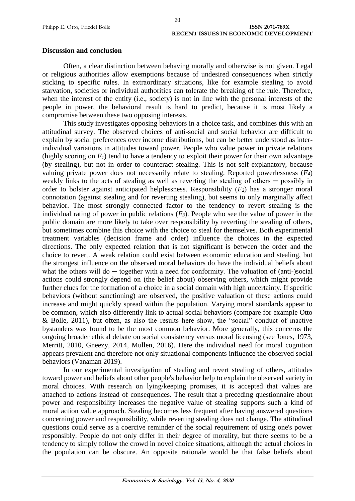## **Discussion and conclusion**

Often, a clear distinction between behaving morally and otherwise is not given. Legal or religious authorities allow exemptions because of undesired consequences when strictly sticking to specific rules. In extraordinary situations, like for example stealing to avoid starvation, societies or individual authorities can tolerate the breaking of the rule. Therefore, when the interest of the entity (i.e., society) is not in line with the personal interests of the people in power, the behavioral result is hard to predict, because it is most likely a compromise between these two opposing interests.

This study investigates opposing behaviors in a choice task, and combines this with an attitudinal survey. The observed choices of anti-social and social behavior are difficult to explain by social preferences over income distributions, but can be better understood as interindividual variations in attitudes toward power. People who value power in private relations (highly scoring on  $F_I$ ) tend to have a tendency to exploit their power for their own advantage (by stealing), but not in order to counteract stealing. This is not self-explanatory, because valuing private power does not necessarily relate to stealing. Reported powerlessness (*F4*) weakly links to the acts of stealing as well as reverting the stealing of others  $-$  possibly in order to bolster against anticipated helplessness. Responsibility (*F2*) has a stronger moral connotation (against stealing and for reverting stealing), but seems to only marginally affect behavior. The most strongly connected factor to the tendency to revert stealing is the individual rating of power in public relations  $(F_3)$ . People who see the value of power in the public domain are more likely to take over responsibility by reverting the stealing of others, but sometimes combine this choice with the choice to steal for themselves. Both experimental treatment variables (decision frame and order) influence the choices in the expected directions. The only expected relation that is not significant is between the order and the choice to revert. A weak relation could exist between economic education and stealing, but the strongest influence on the observed moral behaviors do have the individual beliefs about what the others will do  $-$  together with a need for conformity. The valuation of (anti-)social actions could strongly depend on (the belief about) observing others, which might provide further clues for the formation of a choice in a social domain with high uncertainty. If specific behaviors (without sanctioning) are observed, the positive valuation of these actions could increase and might quickly spread within the population. Varying moral standards appear to be common, which also differently link to actual social behaviors (compare for example Otto & Bolle, 2011), but often, as also the results here show, the "social" conduct of inactive bystanders was found to be the most common behavior. More generally, this concerns the ongoing broader ethical debate on social consistency versus moral licensing (see Jones, 1973, Merritt, 2010, Gneezy, 2014, Mullen, 2016). Here the individual need for moral cognition appears prevalent and therefore not only situational components influence the observed social behaviors (Vanaman 2019).

In our experimental investigation of stealing and revert stealing of others, attitudes toward power and beliefs about other people's behavior help to explain the observed variety in moral choices. With research on lying/keeping promises, it is accepted that values are attached to actions instead of consequences. The result that a preceding questionnaire about power and responsibility increases the negative value of stealing supports such a kind of moral action value approach. Stealing becomes less frequent after having answered questions concerning power and responsibility, while reverting stealing does not change. The attitudinal questions could serve as a coercive reminder of the social requirement of using one's power responsibly. People do not only differ in their degree of morality, but there seems to be a tendency to simply follow the crowd in novel choice situations, although the actual choices in the population can be obscure. An opposite rationale would be that false beliefs about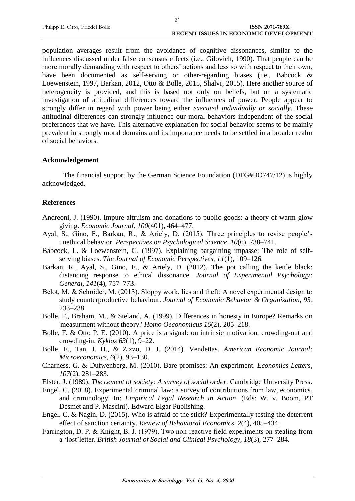population averages result from the avoidance of cognitive dissonances, similar to the influences discussed under false consensus effects (i.e., Gilovich, 1990). That people can be more morally demanding with respect to others' actions and less so with respect to their own, have been documented as self-serving or other-regarding biases (i.e., Babcock & Loewenstein, 1997, Barkan, 2012, Otto & Bolle, 2015, Shalvi, 2015). Here another source of heterogeneity is provided, and this is based not only on beliefs, but on a systematic investigation of attitudinal differences toward the influences of power. People appear to strongly differ in regard with power being either *executed individually or socially*. These attitudinal differences can strongly influence our moral behaviors independent of the social preferences that we have. This alternative explanation for social behavior seems to be mainly prevalent in strongly moral domains and its importance needs to be settled in a broader realm of social behaviors.

## **Acknowledgement**

The financial support by the German Science Foundation (DFG#BO747/12) is highly acknowledged.

## **References**

- Andreoni, J. (1990). Impure altruism and donations to public goods: a theory of warm-glow giving. *Economic Journal, 100*(401), 464–477.
- Ayal, S., Gino, F., Barkan, R., & Ariely, D. (2015). Three principles to revise people's unethical behavior. *Perspectives on Psychological Science, 10*(6), 738–741.
- Babcock, L. & Loewenstein, G. (1997). Explaining bargaining impasse: The role of selfserving biases. *The Journal of Economic Perspectives, 11*(1), 109–126.
- Barkan, R., Ayal, S., Gino, F., & Ariely, D. (2012). The pot calling the kettle black: distancing response to ethical dissonance. *Journal of Experimental Psychology: General, 141*(4), 757–773.
- Belot, M. & Schröder, M. (2013). Sloppy work, lies and theft: A novel experimental design to study counterproductive behaviour. *Journal of Economic Behavior & Organization, 93*, 233–238.
- Bolle, F., Braham, M., & Steland, A. (1999). Differences in honesty in Europe? Remarks on 'measurment without theory.' *Homo Oeconomicus 16*(2), 205–218.
- Bolle, F. & Otto P. E. (2010). A price is a signal: on intrinsic motivation, crowding-out and crowding-in. *Kyklos 63*(1), 9–22.
- Bolle, F., Tan, J. H., & Zizzo, D. J. (2014). Vendettas. *American Economic Journal: Microeconomics, 6*(2), 93–130.
- Charness, G. & Dufwenberg, M. (2010). Bare promises: An experiment. *Economics Letters, 107*(2), 281–283.
- Elster, J. (1989). *The cement of society: A survey of social order.* Cambridge University Press.
- Engel, C. (2018). Experimental criminal law: a survey of contributions from law, economics, and criminology. In: *Empirical Legal Research in Action*. (Eds: W. v. Boom, PT Desmet and P. Mascini). Edward Elgar Publishing.
- Engel, C. & Nagin, D. (2015). Who is afraid of the stick? Experimentally testing the deterrent effect of sanction certainty. *Review of Behavioral Economics, 2*(4), 405–434.
- Farrington, D. P. & Knight, B. J. (1979). Two non-reactive field experiments on stealing from a 'lost'letter. *British Journal of Social and Clinical Psychology, 18*(3), 277–284.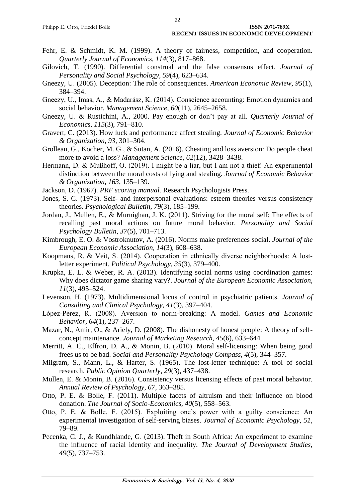- Fehr, E. & Schmidt, K. M. (1999). A theory of fairness, competition, and cooperation. *Quarterly Journal of Economics, 114*(3), 817–868.
- Gilovich, T. (1990). Differential construal and the false consensus effect. *Journal of Personality and Social Psychology, 59*(4), 623–634.
- Gneezy, U. (2005). Deception: The role of consequences. *American Economic Review, 95*(1), 384–394.
- Gneezy, U., Imas, A., & Madarász, K. (2014). Conscience accounting: Emotion dynamics and social behavior. *Management Science, 60*(11), 2645–2658.
- Gneezy, U. & Rustichini, A., 2000. Pay enough or don't pay at all. *Quarterly Journal of Economics, 115*(3), 791–810.
- Gravert, C. (2013). How luck and performance affect stealing. *Journal of Economic Behavior & Organization, 93,* 301–304.
- Grolleau, G., Kocher, M. G., & Sutan, A. (2016). Cheating and loss aversion: Do people cheat more to avoid a loss? *Management Science, 62*(12), 3428–3438.
- Hermann, D. & Mußhoff, O. (2019). I might be a liar, but I am not a thief: An experimental distinction between the moral costs of lying and stealing. *Journal of Economic Behavior & Organization, 163*, 135–139.
- Jackson, D. (1967). *PRF scoring manual.* Research Psychologists Press.
- Jones, S. C. (1973). Self- and interpersonal evaluations: esteem theories versus consistency theories. *Psychological Bulletin, 79*(3), 185–199.
- Jordan, J., Mullen, E., & Murnighan, J. K. (2011). Striving for the moral self: The effects of recalling past moral actions on future moral behavior. *Personality and Social Psychology Bulletin, 37*(5), 701–713.
- Kimbrough, E. O. & Vostroknutov, A. (2016). Norms make preferences social. *Journal of the European Economic Association, 14*(3), 608–638.
- Koopmans, R. & Veit, S. (2014). Cooperation in ethnically diverse neighborhoods: A lostletter experiment. *Political Psychology, 35*(3), 379–400.
- Krupka, E. L. & Weber, R. A. (2013). Identifying social norms using coordination games: Why does dictator game sharing vary?. *Journal of the European Economic Association, 11*(3), 495–524.
- Levenson, H. (1973). Multidimensional locus of control in psychiatric patients. *Journal of Consulting and Clinical Psychology, 41*(3), 397–404.
- López-Pérez, R. (2008). Aversion to norm-breaking: A model. *Games and Economic Behavior, 64*(1), 237–267.
- Mazar, N., Amir, O., & Ariely, D. (2008). The dishonesty of honest people: A theory of selfconcept maintenance. *Journal of Marketing Research, 45*(6), 633–644.
- Merritt, A. C., Effron, D. A., & Monin, B. (2010). Moral self-licensing: When being good frees us to be bad. *Social and Personality Psychology Compass, 4*(5), 344–357.
- Milgram, S., Mann, L., & Harter, S. (1965). The lost-letter technique: A tool of social research. *Public Opinion Quarterly, 29*(3), 437–438.
- Mullen, E. & Monin, B. (2016). Consistency versus licensing effects of past moral behavior. *Annual Review of Psychology, 67*, 363–385.
- Otto, P. E. & Bolle, F. (2011). Multiple facets of altruism and their influence on blood donation. *The Journal of Socio-Economics, 40*(5), 558–563.
- Otto, P. E. & Bolle, F. (2015). Exploiting one's power with a guilty conscience: An experimental investigation of self-serving biases. *Journal of Economic Psychology, 51*, 79–89.
- Pecenka, C. J., & Kundhlande, G. (2013). Theft in South Africa: An experiment to examine the influence of racial identity and inequality. *The Journal of Development Studies, 49*(5), 737–753.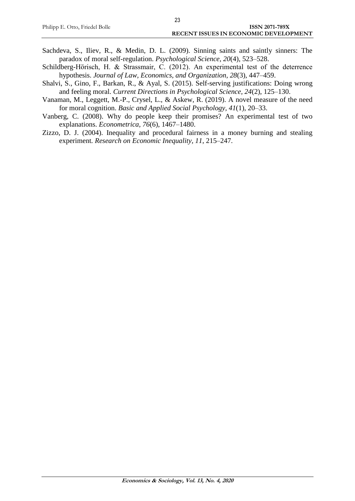- Sachdeva, S., Iliev, R., & Medin, D. L. (2009). Sinning saints and saintly sinners: The paradox of moral self-regulation. *Psychological Science, 20*(4), 523–528.
- Schildberg-Hörisch, H. & Strassmair, C. (2012). An experimental test of the deterrence hypothesis. *Journal of Law, Economics, and Organization, 28*(3), 447–459.
- Shalvi, S., Gino, F., Barkan, R., & Ayal, S. (2015). Self-serving justifications: Doing wrong and feeling moral. *Current Directions in Psychological Science, 24*(2), 125–130.
- Vanaman, M., Leggett, M.-P., Crysel, L., & Askew, R. (2019). A novel measure of the need for moral cognition. *Basic and Applied Social Psychology, 41*(1), 20–33.
- Vanberg, C. (2008). Why do people keep their promises? An experimental test of two explanations. *Econometrica, 76*(6), 1467–1480.
- Zizzo, D. J. (2004). Inequality and procedural fairness in a money burning and stealing experiment*. Research on Economic Inequality, 11*, 215–247.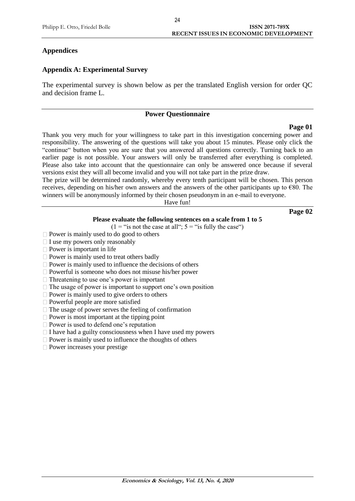## **Appendices**

## **Appendix A: Experimental Survey**

The experimental survey is shown below as per the translated English version for order QC and decision frame L.

## **Power Questionnaire**

## **Page 01**

Thank you very much for your willingness to take part in this investigation concerning power and responsibility. The answering of the questions will take you about 15 minutes. Please only click the "continue" button when you are sure that you answered all questions correctly. Turning back to an earlier page is not possible. Your answers will only be transferred after everything is completed. Please also take into account that the questionnaire can only be answered once because if several versions exist they will all become invalid and you will not take part in the prize draw.

The prize will be determined randomly, whereby every tenth participant will be chosen. This person receives, depending on his/her own answers and the answers of the other participants up to €80. The winners will be anonymously informed by their chosen pseudonym in an e-mail to everyone.

Have fun!

**Page 02**

## **Please evaluate the following sentences on a scale from 1 to 5**

 $(1 = "is not the case at all": 5 = "is fully the case")$ 

- $\Box$  Power is mainly used to do good to others
- $\Box$  I use my powers only reasonably
- $\Box$  Power is important in life
- $\Box$  Power is mainly used to treat others badly
- $\Box$  Power is mainly used to influence the decisions of others
- $\Box$  Powerful is someone who does not misuse his/her power
- $\Box$  Threatening to use one's power is important
- $\Box$  The usage of power is important to support one's own position

 $\Box$  Power is mainly used to give orders to others

- Powerful people are more satisfied
- $\Box$  The usage of power serves the feeling of confirmation
- $\Box$  Power is most important at the tipping point
- □ Power is used to defend one's reputation
- $\Box$  I have had a guilty consciousness when I have used my powers
- $\Box$  Power is mainly used to influence the thoughts of others
- $\square$  Power increases your prestige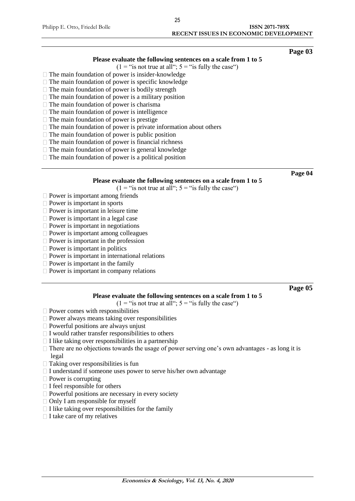## **Please evaluate the following sentences on a scale from 1 to 5**

 $(1 = "is not true at all"; 5 = "is fully the case")$ 

- $\Box$  The main foundation of power is insider-knowledge
- $\Box$  The main foundation of power is specific knowledge
- $\Box$  The main foundation of power is bodily strength
- $\Box$  The main foundation of power is a military position
- $\Box$  The main foundation of power is charisma
- $\Box$  The main foundation of power is intelligence
- $\Box$  The main foundation of power is prestige
- $\Box$  The main foundation of power is private information about others
- $\Box$  The main foundation of power is public position
- $\Box$  The main foundation of power is financial richness
- $\Box$  The main foundation of power is general knowledge
- $\Box$  The main foundation of power is a political position

**Page 04**

#### **Please evaluate the following sentences on a scale from 1 to 5**

 $(1 = "is not true at all"; 5 = "is fully the case")$ 

- $\Box$  Power is important among friends
- $\Box$  Power is important in sports
- $\Box$  Power is important in leisure time
- $\Box$  Power is important in a legal case
- $\Box$  Power is important in negotiations
- $\Box$  Power is important among colleagues
- $\Box$  Power is important in the profession
- $\Box$  Power is important in politics
- $\Box$  Power is important in international relations
- $\Box$  Power is important in the family
- $\Box$  Power is important in company relations

#### **Page 05**

#### **Please evaluate the following sentences on a scale from 1 to 5**

 $(1 = "is not true at all"$ ;  $5 = "is fully the case")$ 

- $\Box$  Power comes with responsibilities
- $\Box$  Power always means taking over responsibilities
- $\Box$  Powerful positions are always unjust
- $\Box$  I would rather transfer responsibilities to others
- $\Box$  I like taking over responsibilities in a partnership
- $\Box$  There are no objections towards the usage of power serving one's own advantages as long it is legal
- $\Box$  Taking over responsibilities is fun
- $\Box$  I understand if someone uses power to serve his/her own advantage
- $\square$  Power is corrupting
- $\Box$  I feel responsible for others
- $\Box$  Powerful positions are necessary in every society
- $\Box$  Only I am responsible for myself
- $\Box$  I like taking over responsibilities for the family
- $\Box$  I take care of my relatives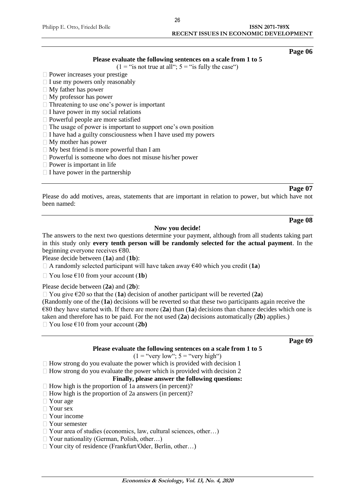### **Please evaluate the following sentences on a scale from 1 to 5**

 $(1 = "is not true at all"; 5 = "is fully the case")$ 

- □ Power increases your prestige
- $\Box$  I use my powers only reasonably
- $\Box$  My father has power
- $\Box$  My professor has power
- $\Box$  Threatening to use one's power is important
- $\Box$  I have power in my social relations
- $\Box$  Powerful people are more satisfied
- $\Box$  The usage of power is important to support one's own position
- $\Box$  I have had a guilty consciousness when I have used my powers
- $\Box$  My mother has power
- $\Box$  My best friend is more powerful than I am
- $\Box$  Powerful is someone who does not misuse his/her power
- $\Box$  Power is important in life
- $\Box$  I have power in the partnership

#### **Page 07**

**Page 08**

**Page 06**

Please do add motives, areas, statements that are important in relation to power, but which have not been named:

## **Now you decide!**

The answers to the next two questions determine your payment, although from all students taking part in this study only **every tenth person will be randomly selected for the actual payment**. In the beginning everyone receives €80.

Please decide between (**1a**) and (**1b**):

A randomly selected participant will have taken away €40 which you credit (**1a**)

You lose €10 from your account (**1b**)

Please decide between (**2a**) and (**2b**):

You give €20 so that the (**1a**) decision of another participant will be reverted (**2a**)

(Randomly one of the (**1a**) decisions will be reverted so that these two participants again receive the €80 they have started with. If there are more (**2a**) than (**1a**) decisions than chance decides which one is taken and therefore has to be paid. For the not used (**2a**) decisions automatically (**2b**) applies.) You lose €10 from your account (**2b)** 

**Page 09**

**Please evaluate the following sentences on a scale from 1 to 5**

 $(1 = "very low"; 5 = "very high")$ 

 $\Box$  How strong do you evaluate the power which is provided with decision 1

 $\Box$  How strong do you evaluate the power which is provided with decision 2

## **Finally, please answer the following questions:**

 $\Box$  How high is the proportion of 1a answers (in percent)?

- $\Box$  How high is the proportion of 2a answers (in percent)?
- Your age
- Your sex
- Your income
- Your semester
- □ Your area of studies (economics, law, cultural sciences, other...)
- □ Your nationality (German, Polish, other...)
- □ Your city of residence (Frankfurt/Oder, Berlin, other...)

26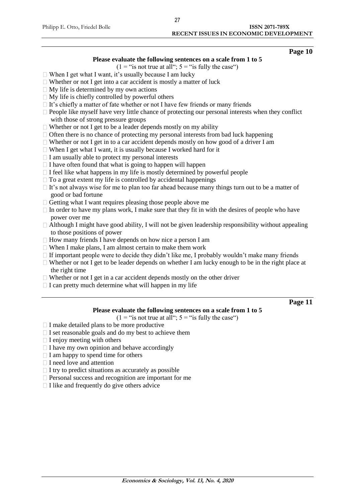#### **Page 10**

#### **Please evaluate the following sentences on a scale from 1 to 5**

 $(1 = "is not true at all"; 5 = "is fully the case")$ 

- $\Box$  When I get what I want, it's usually because I am lucky
- $\Box$  Whether or not I get into a car accident is mostly a matter of luck
- $\Box$  My life is determined by my own actions
- $\Box$  My life is chiefly controlled by powerful others
- $\Box$  It's chiefly a matter of fate whether or not I have few friends or many friends
- $\Box$  People like myself have very little chance of protecting our personal interests when they conflict with those of strong pressure groups
- $\Box$  Whether or not I get to be a leader depends mostly on my ability
- $\Box$  Often there is no chance of protecting my personal interests from bad luck happening
- $\Box$  Whether or not I get in to a car accident depends mostly on how good of a driver I am
- $\Box$  When I get what I want, it is usually because I worked hard for it
- $\Box$  I am usually able to protect my personal interests
- $\Box$  I have often found that what is going to happen will happen
- $\Box$  I feel like what happens in my life is mostly determined by powerful people
- $\Box$  To a great extent my life is controlled by accidental happenings
- $\Box$  It's not always wise for me to plan too far ahead because many things turn out to be a matter of good or bad fortune
- $\Box$  Getting what I want requires pleasing those people above me
- $\Box$  In order to have my plans work, I make sure that they fit in with the desires of people who have power over me
- $\Box$  Although I might have good ability, I will not be given leadership responsibility without appealing to those positions of power
- $\Box$  How many friends I have depends on how nice a person I am
- $\Box$  When I make plans, I am almost certain to make them work
- $\Box$  If important people were to decide they didn't like me, I probably wouldn't make many friends
- $\Box$  Whether or not I get to be leader depends on whether I am lucky enough to be in the right place at the right time
- $\Box$  Whether or not I get in a car accident depends mostly on the other driver
- $\Box$  I can pretty much determine what will happen in my life

## **Page 11**

#### **Please evaluate the following sentences on a scale from 1 to 5**

 $(1 = "is not true at all"; 5 = "is fully the case")$ 

- $\Box$  I make detailed plans to be more productive
- $\Box$  I set reasonable goals and do my best to achieve them
- $\Box$  I enjoy meeting with others
- $\Box$  I have my own opinion and behave accordingly
- $\Box$  I am happy to spend time for others
- $\Box$  I need love and attention
- $\Box$  I try to predict situations as accurately as possible
- $\Box$  Personal success and recognition are important for me
- $\Box$  I like and frequently do give others advice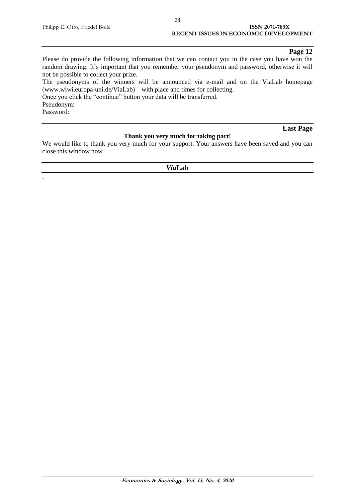## **Page 12**

Please do provide the following information that we can contact you in the case you have won the random drawing. It's important that you remember your pseudonym and password, otherwise it will not be possible to collect your prize.

The pseudonyms of the winners will be announced via e-mail and on the ViaLab homepage (www.wiwi.europa-uni.de/ViaLab) – with place and times for collecting.

Once you click the "continue" button your data will be transferred.

Pseudonym: Password:

**Thank you very much for taking part!**

We would like to thank you very much for your support. Your answers have been saved and you can close this window now

*Via***Lab**

**Last Page**

.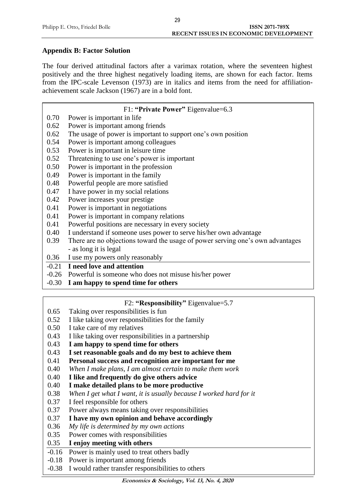## **Appendix B: Factor Solution**

The four derived attitudinal factors after a varimax rotation, where the seventeen highest positively and the three highest negatively loading items, are shown for each factor. Items from the IPC-scale Levenson (1973) are in italics and items from the need for affiliationachievement scale Jackson (1967) are in a bold font.

|      | F1: "Private Power" Eigenvalue=6.3                                             |
|------|--------------------------------------------------------------------------------|
| 0.70 | Power is important in life.                                                    |
| 0.62 | Power is important among friends                                               |
| 0.62 | The usage of power is important to support one's own position                  |
| 0.54 | Power is important among colleagues                                            |
| 0.53 | Power is important in leisure time                                             |
| 0.52 | Threatening to use one's power is important                                    |
| 0.50 | Power is important in the profession                                           |
| 0.49 | Power is important in the family                                               |
| 0.48 | Powerful people are more satisfied                                             |
| 0.47 | I have power in my social relations                                            |
| 0.42 | Power increases your prestige                                                  |
| 0.41 | Power is important in negotiations                                             |
| 0.41 | Power is important in company relations                                        |
| 0.41 | Powerful positions are necessary in every society                              |
| 0.40 | I understand if someone uses power to serve his/her own advantage              |
| 0.39 | There are no objections toward the usage of power serving one's own advantages |
|      | - as long it is legal                                                          |
| 0.36 | I use my powers only reasonably                                                |

- -0.21 **I need love and attention**
- -0.26 Powerful is someone who does not misuse his/her power
- -0.30 **I am happy to spend time for others**

## F2: **"Responsibility"** Eigenvalue=5.7

- 0.65 Taking over responsibilities is fun
- 0.52 I like taking over responsibilities for the family
- 0.50 I take care of my relatives
- 0.43 I like taking over responsibilities in a partnership
- 0.43 **I am happy to spend time for others**
- 0.43 **I set reasonable goals and do my best to achieve them**
- 0.41 **Personal success and recognition are important for me**
- 0.40 *When I make plans, I am almost certain to make them work*
- 0.40 **I like and frequently do give others advice**
- 0.40 **I make detailed plans to be more productive**
- 0.38 *When I get what I want, it is usually because I worked hard for it*
- 0.37 I feel responsible for others
- 0.37 Power always means taking over responsibilities
- 0.37 **I have my own opinion and behave accordingly**
- 0.36 *My life is determined by my own actions*
- 0.35 Power comes with responsibilities

## 0.35 **I enjoy meeting with others**

- -0.16 Power is mainly used to treat others badly
- -0.18 Power is important among friends
- -0.38 I would rather transfer responsibilities to others